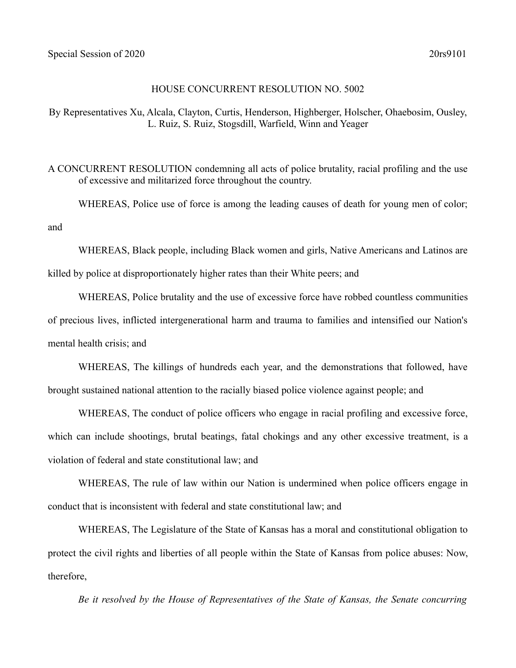and

## HOUSE CONCURRENT RESOLUTION NO. 5002

By Representatives Xu, Alcala, Clayton, Curtis, Henderson, Highberger, Holscher, Ohaebosim, Ousley, L. Ruiz, S. Ruiz, Stogsdill, Warfield, Winn and Yeager

A CONCURRENT RESOLUTION condemning all acts of police brutality, racial profiling and the use of excessive and militarized force throughout the country.

WHEREAS, Police use of force is among the leading causes of death for young men of color;

WHEREAS, Black people, including Black women and girls, Native Americans and Latinos are killed by police at disproportionately higher rates than their White peers; and

WHEREAS, Police brutality and the use of excessive force have robbed countless communities of precious lives, inflicted intergenerational harm and trauma to families and intensified our Nation's mental health crisis; and

WHEREAS, The killings of hundreds each year, and the demonstrations that followed, have brought sustained national attention to the racially biased police violence against people; and

WHEREAS, The conduct of police officers who engage in racial profiling and excessive force, which can include shootings, brutal beatings, fatal chokings and any other excessive treatment, is a violation of federal and state constitutional law; and

WHEREAS, The rule of law within our Nation is undermined when police officers engage in conduct that is inconsistent with federal and state constitutional law; and

WHEREAS, The Legislature of the State of Kansas has a moral and constitutional obligation to protect the civil rights and liberties of all people within the State of Kansas from police abuses: Now, therefore,

*Be it resolved by the House of Representatives of the State of Kansas, the Senate concurring*